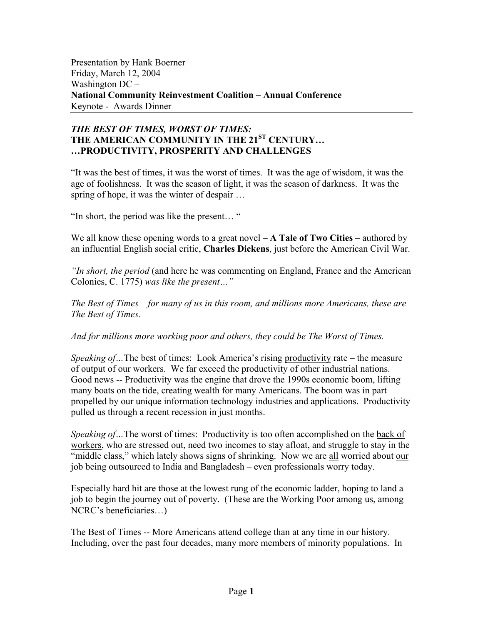Presentation by Hank Boerner Friday, March 12, 2004 Washington DC – **National Community Reinvestment Coalition – Annual Conference**  Keynote - Awards Dinner

## *THE BEST OF TIMES, WORST OF TIMES:*  **THE AMERICAN COMMUNITY IN THE 21ST CENTURY… …PRODUCTIVITY, PROSPERITY AND CHALLENGES**

"It was the best of times, it was the worst of times. It was the age of wisdom, it was the age of foolishness. It was the season of light, it was the season of darkness. It was the spring of hope, it was the winter of despair …

"In short, the period was like the present… "

We all know these opening words to a great novel – **A Tale of Two Cities** – authored by an influential English social critic, **Charles Dickens**, just before the American Civil War.

*"In short, the period* (and here he was commenting on England, France and the American Colonies, C. 1775) *was like the present…"* 

*The Best of Times – for many of us in this room, and millions more Americans, these are The Best of Times.* 

*And for millions more working poor and others, they could be The Worst of Times.* 

*Speaking of…*The best of times: Look America's rising productivity rate – the measure of output of our workers. We far exceed the productivity of other industrial nations. Good news -- Productivity was the engine that drove the 1990s economic boom, lifting many boats on the tide, creating wealth for many Americans. The boom was in part propelled by our unique information technology industries and applications. Productivity pulled us through a recent recession in just months.

*Speaking of…*The worst of times: Productivity is too often accomplished on the back of workers, who are stressed out, need two incomes to stay afloat, and struggle to stay in the "middle class," which lately shows signs of shrinking. Now we are all worried about our job being outsourced to India and Bangladesh – even professionals worry today.

Especially hard hit are those at the lowest rung of the economic ladder, hoping to land a job to begin the journey out of poverty. (These are the Working Poor among us, among NCRC's beneficiaries…)

The Best of Times -- More Americans attend college than at any time in our history. Including, over the past four decades, many more members of minority populations. In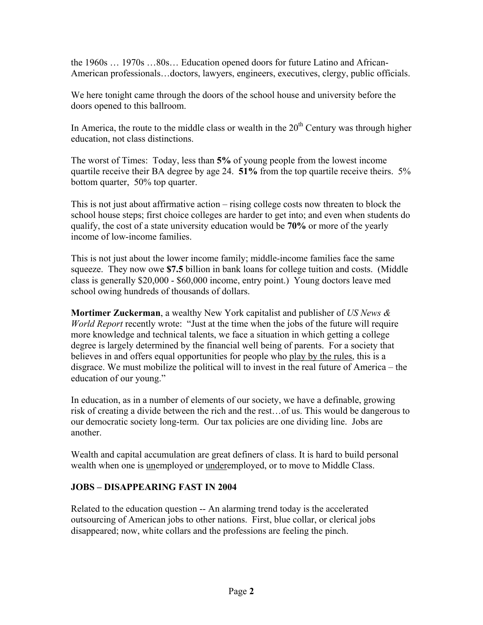the 1960s … 1970s …80s… Education opened doors for future Latino and African-American professionals…doctors, lawyers, engineers, executives, clergy, public officials.

We here tonight came through the doors of the school house and university before the doors opened to this ballroom.

In America, the route to the middle class or wealth in the  $20<sup>th</sup>$  Century was through higher education, not class distinctions.

The worst of Times: Today, less than **5%** of young people from the lowest income quartile receive their BA degree by age 24. **51%** from the top quartile receive theirs. 5% bottom quarter, 50% top quarter.

This is not just about affirmative action – rising college costs now threaten to block the school house steps; first choice colleges are harder to get into; and even when students do qualify, the cost of a state university education would be **70%** or more of the yearly income of low-income families.

This is not just about the lower income family; middle-income families face the same squeeze. They now owe **\$7.5** billion in bank loans for college tuition and costs. (Middle class is generally \$20,000 - \$60,000 income, entry point.) Young doctors leave med school owing hundreds of thousands of dollars.

**Mortimer Zuckerman**, a wealthy New York capitalist and publisher of *US News & World Report* recently wrote: "Just at the time when the jobs of the future will require more knowledge and technical talents, we face a situation in which getting a college degree is largely determined by the financial well being of parents. For a society that believes in and offers equal opportunities for people who play by the rules, this is a disgrace. We must mobilize the political will to invest in the real future of America – the education of our young."

In education, as in a number of elements of our society, we have a definable, growing risk of creating a divide between the rich and the rest…of us. This would be dangerous to our democratic society long-term. Our tax policies are one dividing line. Jobs are another.

Wealth and capital accumulation are great definers of class. It is hard to build personal wealth when one is unemployed or underemployed, or to move to Middle Class.

## **JOBS – DISAPPEARING FAST IN 2004**

Related to the education question -- An alarming trend today is the accelerated outsourcing of American jobs to other nations. First, blue collar, or clerical jobs disappeared; now, white collars and the professions are feeling the pinch.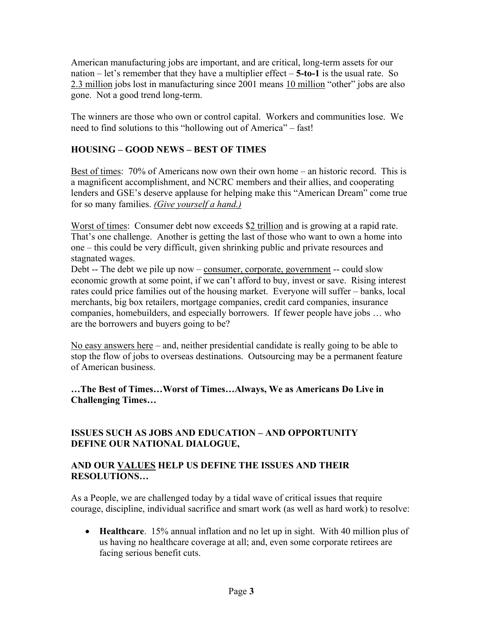American manufacturing jobs are important, and are critical, long-term assets for our nation – let's remember that they have a multiplier effect – **5-to-1** is the usual rate. So 2.3 million jobs lost in manufacturing since 2001 means 10 million "other" jobs are also gone. Not a good trend long-term.

The winners are those who own or control capital. Workers and communities lose. We need to find solutions to this "hollowing out of America" – fast!

## **HOUSING – GOOD NEWS – BEST OF TIMES**

Best of times: 70% of Americans now own their own home – an historic record. This is a magnificent accomplishment, and NCRC members and their allies, and cooperating lenders and GSE's deserve applause for helping make this "American Dream" come true for so many families. *(Give yourself a hand.)*

Worst of times: Consumer debt now exceeds \$2 trillion and is growing at a rapid rate. That's one challenge. Another is getting the last of those who want to own a home into one – this could be very difficult, given shrinking public and private resources and stagnated wages.

Debt -- The debt we pile up now – consumer, corporate, government -- could slow economic growth at some point, if we can't afford to buy, invest or save. Rising interest rates could price families out of the housing market. Everyone will suffer – banks, local merchants, big box retailers, mortgage companies, credit card companies, insurance companies, homebuilders, and especially borrowers. If fewer people have jobs … who are the borrowers and buyers going to be?

No easy answers here – and, neither presidential candidate is really going to be able to stop the flow of jobs to overseas destinations. Outsourcing may be a permanent feature of American business.

**…The Best of Times…Worst of Times…Always, We as Americans Do Live in Challenging Times…** 

## **ISSUES SUCH AS JOBS AND EDUCATION – AND OPPORTUNITY DEFINE OUR NATIONAL DIALOGUE,**

## **AND OUR VALUES HELP US DEFINE THE ISSUES AND THEIR RESOLUTIONS…**

As a People, we are challenged today by a tidal wave of critical issues that require courage, discipline, individual sacrifice and smart work (as well as hard work) to resolve:

• **Healthcare**. 15% annual inflation and no let up in sight. With 40 million plus of us having no healthcare coverage at all; and, even some corporate retirees are facing serious benefit cuts.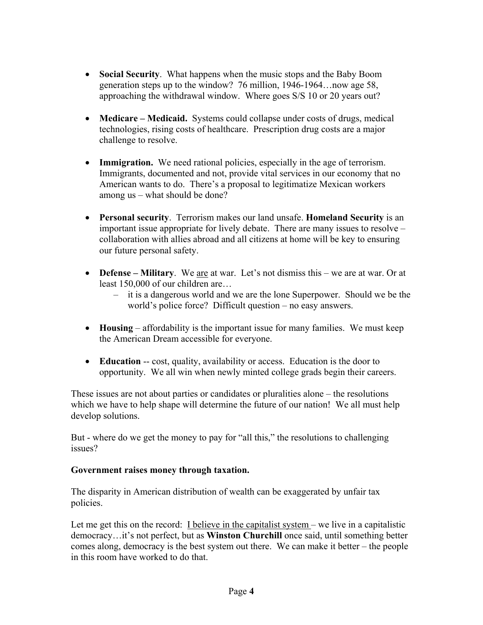- **Social Security**. What happens when the music stops and the Baby Boom generation steps up to the window? 76 million, 1946-1964…now age 58, approaching the withdrawal window. Where goes S/S 10 or 20 years out?
- **Medicare Medicaid.** Systems could collapse under costs of drugs, medical technologies, rising costs of healthcare. Prescription drug costs are a major challenge to resolve.
- **Immigration.** We need rational policies, especially in the age of terrorism. Immigrants, documented and not, provide vital services in our economy that no American wants to do. There's a proposal to legitimatize Mexican workers among us – what should be done?
- **Personal security**. Terrorism makes our land unsafe. **Homeland Security** is an important issue appropriate for lively debate. There are many issues to resolve – collaboration with allies abroad and all citizens at home will be key to ensuring our future personal safety.
- **Defense Military**. We are at war. Let's not dismiss this we are at war. Or at least 150,000 of our children are…
	- it is a dangerous world and we are the lone Superpower. Should we be the world's police force? Difficult question – no easy answers.
- **Housing** affordability is the important issue for many families. We must keep the American Dream accessible for everyone.
- **Education** -- cost, quality, availability or access. Education is the door to opportunity. We all win when newly minted college grads begin their careers.

These issues are not about parties or candidates or pluralities alone – the resolutions which we have to help shape will determine the future of our nation! We all must help develop solutions.

But - where do we get the money to pay for "all this," the resolutions to challenging issues?

## **Government raises money through taxation.**

The disparity in American distribution of wealth can be exaggerated by unfair tax policies.

Let me get this on the record: I believe in the capitalist system  $-$  we live in a capitalistic democracy…it's not perfect, but as **Winston Churchill** once said, until something better comes along, democracy is the best system out there. We can make it better – the people in this room have worked to do that.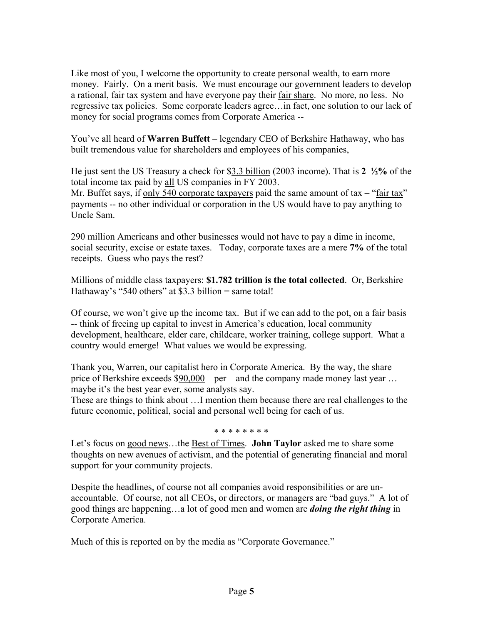Like most of you, I welcome the opportunity to create personal wealth, to earn more money. Fairly. On a merit basis. We must encourage our government leaders to develop a rational, fair tax system and have everyone pay their fair share. No more, no less. No regressive tax policies. Some corporate leaders agree…in fact, one solution to our lack of money for social programs comes from Corporate America --

You've all heard of **Warren Buffett** – legendary CEO of Berkshire Hathaway, who has built tremendous value for shareholders and employees of his companies,

He just sent the US Treasury a check for \$3.3 billion (2003 income). That is **2 ½%** of the total income tax paid by all US companies in FY 2003.

Mr. Buffet says, if only 540 corporate taxpayers paid the same amount of tax – "fair tax" payments -- no other individual or corporation in the US would have to pay anything to Uncle Sam.

290 million Americans and other businesses would not have to pay a dime in income, social security, excise or estate taxes. Today, corporate taxes are a mere **7%** of the total receipts. Guess who pays the rest?

Millions of middle class taxpayers: **\$1.782 trillion is the total collected**. Or, Berkshire Hathaway's "540 others" at \$3.3 billion  $=$  same total!

Of course, we won't give up the income tax. But if we can add to the pot, on a fair basis -- think of freeing up capital to invest in America's education, local community development, healthcare, elder care, childcare, worker training, college support. What a country would emerge! What values we would be expressing.

Thank you, Warren, our capitalist hero in Corporate America. By the way, the share price of Berkshire exceeds  $$90,000$  – per – and the company made money last year ... maybe it's the best year ever, some analysts say.

These are things to think about …I mention them because there are real challenges to the future economic, political, social and personal well being for each of us.

\* \* \* \* \* \* \* \*

Let's focus on good news…the Best of Times. **John Taylor** asked me to share some thoughts on new avenues of activism, and the potential of generating financial and moral support for your community projects.

Despite the headlines, of course not all companies avoid responsibilities or are unaccountable. Of course, not all CEOs, or directors, or managers are "bad guys." A lot of good things are happening…a lot of good men and women are *doing the right thing* in Corporate America.

Much of this is reported on by the media as "Corporate Governance."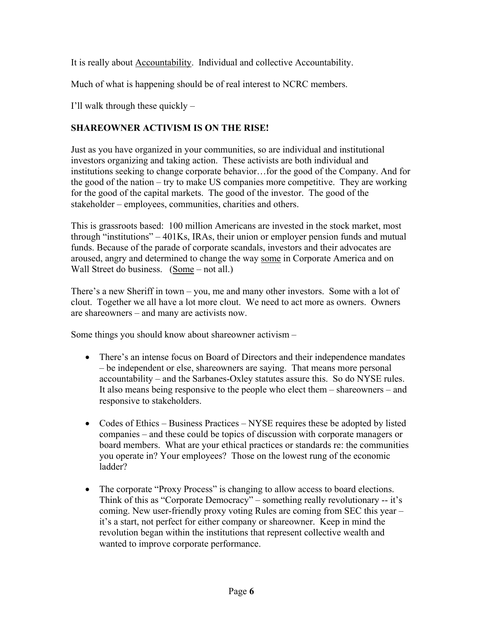It is really about Accountability. Individual and collective Accountability.

Much of what is happening should be of real interest to NCRC members.

I'll walk through these quickly –

# **SHAREOWNER ACTIVISM IS ON THE RISE!**

Just as you have organized in your communities, so are individual and institutional investors organizing and taking action. These activists are both individual and institutions seeking to change corporate behavior…for the good of the Company. And for the good of the nation – try to make US companies more competitive. They are working for the good of the capital markets. The good of the investor. The good of the stakeholder – employees, communities, charities and others.

This is grassroots based: 100 million Americans are invested in the stock market, most through "institutions" – 401Ks, IRAs, their union or employer pension funds and mutual funds. Because of the parade of corporate scandals, investors and their advocates are aroused, angry and determined to change the way some in Corporate America and on Wall Street do business. (Some – not all.)

There's a new Sheriff in town – you, me and many other investors. Some with a lot of clout. Together we all have a lot more clout. We need to act more as owners. Owners are shareowners – and many are activists now.

Some things you should know about shareowner activism –

- There's an intense focus on Board of Directors and their independence mandates – be independent or else, shareowners are saying. That means more personal accountability – and the Sarbanes-Oxley statutes assure this. So do NYSE rules. It also means being responsive to the people who elect them – shareowners – and responsive to stakeholders.
- Codes of Ethics Business Practices NYSE requires these be adopted by listed companies – and these could be topics of discussion with corporate managers or board members. What are your ethical practices or standards re: the communities you operate in? Your employees? Those on the lowest rung of the economic ladder?
- The corporate "Proxy Process" is changing to allow access to board elections. Think of this as "Corporate Democracy" – something really revolutionary -- it's coming. New user-friendly proxy voting Rules are coming from SEC this year – it's a start, not perfect for either company or shareowner. Keep in mind the revolution began within the institutions that represent collective wealth and wanted to improve corporate performance.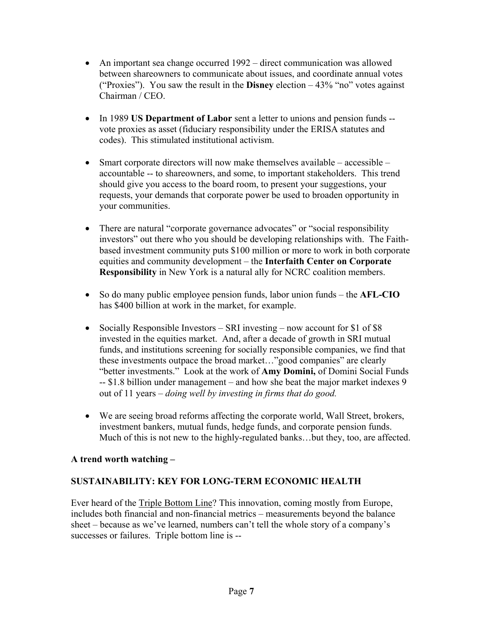- An important sea change occurred 1992 direct communication was allowed between shareowners to communicate about issues, and coordinate annual votes ("Proxies"). You saw the result in the **Disney** election – 43% "no" votes against Chairman / CEO.
- In 1989 **US Department of Labor** sent a letter to unions and pension funds vote proxies as asset (fiduciary responsibility under the ERISA statutes and codes). This stimulated institutional activism.
- Smart corporate directors will now make themselves available accessible accountable -- to shareowners, and some, to important stakeholders. This trend should give you access to the board room, to present your suggestions, your requests, your demands that corporate power be used to broaden opportunity in your communities.
- There are natural "corporate governance advocates" or "social responsibility investors" out there who you should be developing relationships with. The Faithbased investment community puts \$100 million or more to work in both corporate equities and community development – the **Interfaith Center on Corporate Responsibility** in New York is a natural ally for NCRC coalition members.
- So do many public employee pension funds, labor union funds the **AFL-CIO**  has \$400 billion at work in the market, for example.
- Socially Responsible Investors SRI investing now account for \$1 of \$8 invested in the equities market. And, after a decade of growth in SRI mutual funds, and institutions screening for socially responsible companies, we find that these investments outpace the broad market…"good companies" are clearly "better investments." Look at the work of **Amy Domini,** of Domini Social Funds -- \$1.8 billion under management – and how she beat the major market indexes 9 out of 11 years – *doing well by investing in firms that do good.*
- We are seeing broad reforms affecting the corporate world, Wall Street, brokers, investment bankers, mutual funds, hedge funds, and corporate pension funds. Much of this is not new to the highly-regulated banks...but they, too, are affected.

## **A trend worth watching –**

# **SUSTAINABILITY: KEY FOR LONG-TERM ECONOMIC HEALTH**

Ever heard of the Triple Bottom Line? This innovation, coming mostly from Europe, includes both financial and non-financial metrics – measurements beyond the balance sheet – because as we've learned, numbers can't tell the whole story of a company's successes or failures. Triple bottom line is --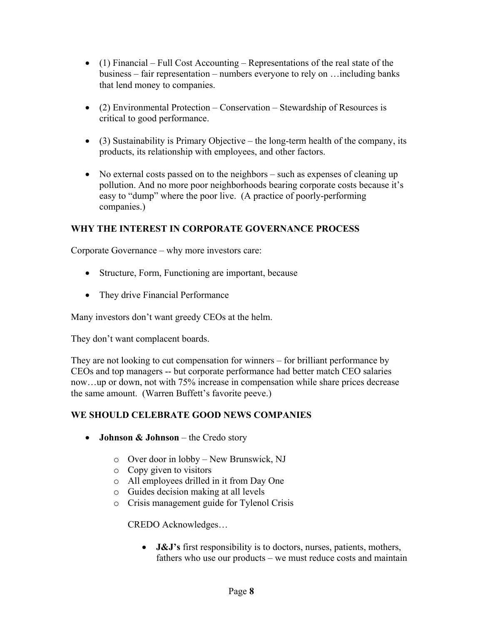- (1) Financial Full Cost Accounting Representations of the real state of the business – fair representation – numbers everyone to rely on …including banks that lend money to companies.
- (2) Environmental Protection Conservation Stewardship of Resources is critical to good performance.
- $\bullet$  (3) Sustainability is Primary Objective the long-term health of the company, its products, its relationship with employees, and other factors.
- No external costs passed on to the neighbors such as expenses of cleaning up pollution. And no more poor neighborhoods bearing corporate costs because it's easy to "dump" where the poor live. (A practice of poorly-performing companies.)

# **WHY THE INTEREST IN CORPORATE GOVERNANCE PROCESS**

Corporate Governance – why more investors care:

- Structure, Form, Functioning are important, because
- They drive Financial Performance

Many investors don't want greedy CEOs at the helm.

They don't want complacent boards.

They are not looking to cut compensation for winners – for brilliant performance by CEOs and top managers -- but corporate performance had better match CEO salaries now…up or down, not with 75% increase in compensation while share prices decrease the same amount. (Warren Buffett's favorite peeve.)

## **WE SHOULD CELEBRATE GOOD NEWS COMPANIES**

- **Johnson & Johnson** the Credo story
	- o Over door in lobby New Brunswick, NJ
	- o Copy given to visitors
	- o All employees drilled in it from Day One
	- o Guides decision making at all levels
	- o Crisis management guide for Tylenol Crisis

CREDO Acknowledges…

• **J&J's** first responsibility is to doctors, nurses, patients, mothers, fathers who use our products – we must reduce costs and maintain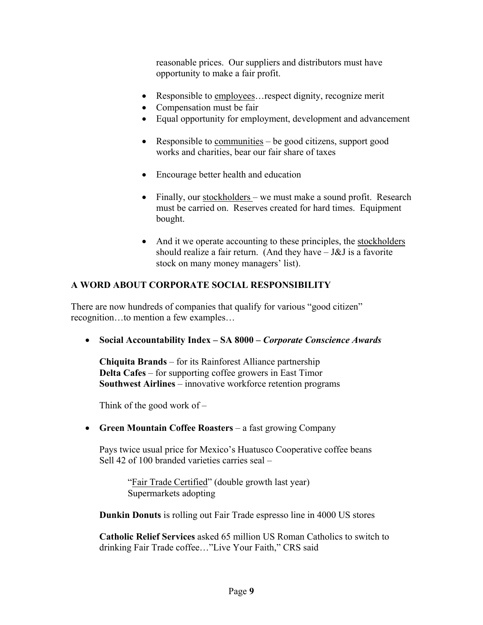reasonable prices. Our suppliers and distributors must have opportunity to make a fair profit.

- Responsible to employees... respect dignity, recognize merit
- Compensation must be fair
- Equal opportunity for employment, development and advancement
- Responsible to communities be good citizens, support good works and charities, bear our fair share of taxes
- Encourage better health and education
- Finally, our stockholders we must make a sound profit. Research must be carried on. Reserves created for hard times. Equipment bought.
- And it we operate accounting to these principles, the stockholders should realize a fair return. (And they have  $-J\&J$  is a favorite stock on many money managers' list).

## **A WORD ABOUT CORPORATE SOCIAL RESPONSIBILITY**

There are now hundreds of companies that qualify for various "good citizen" recognition…to mention a few examples…

• **Social Accountability Index – SA 8000 –** *Corporate Conscience Awards*

**Chiquita Brands** – for its Rainforest Alliance partnership **Delta Cafes** – for supporting coffee growers in East Timor **Southwest Airlines** – innovative workforce retention programs

Think of the good work of  $-$ 

• **Green Mountain Coffee Roasters** – a fast growing Company

Pays twice usual price for Mexico's Huatusco Cooperative coffee beans Sell 42 of 100 branded varieties carries seal –

> "Fair Trade Certified" (double growth last year) Supermarkets adopting

**Dunkin Donuts** is rolling out Fair Trade espresso line in 4000 US stores

**Catholic Relief Services** asked 65 million US Roman Catholics to switch to drinking Fair Trade coffee…"Live Your Faith," CRS said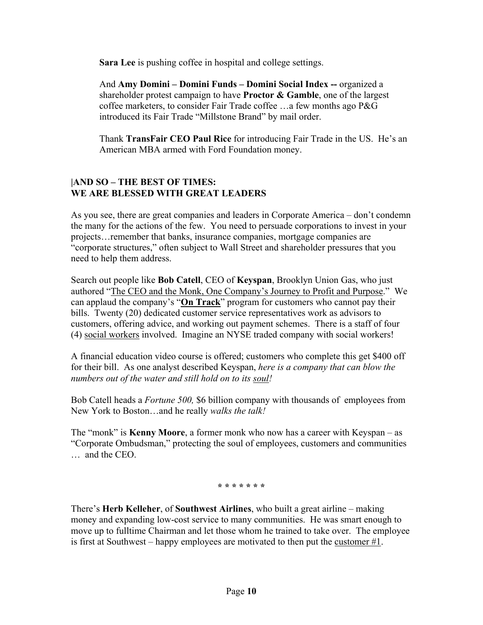**Sara Lee** is pushing coffee in hospital and college settings.

And **Amy Domini – Domini Funds – Domini Social Index --** organized a shareholder protest campaign to have **Proctor & Gamble**, one of the largest coffee marketers, to consider Fair Trade coffee …a few months ago P&G introduced its Fair Trade "Millstone Brand" by mail order.

Thank **TransFair CEO Paul Rice** for introducing Fair Trade in the US. He's an American MBA armed with Ford Foundation money.

## **|AND SO – THE BEST OF TIMES: WE ARE BLESSED WITH GREAT LEADERS**

As you see, there are great companies and leaders in Corporate America – don't condemn the many for the actions of the few. You need to persuade corporations to invest in your projects…remember that banks, insurance companies, mortgage companies are "corporate structures," often subject to Wall Street and shareholder pressures that you need to help them address.

Search out people like **Bob Catell**, CEO of **Keyspan**, Brooklyn Union Gas, who just authored "The CEO and the Monk, One Company's Journey to Profit and Purpose." We can applaud the company's "**On Track**" program for customers who cannot pay their bills. Twenty (20) dedicated customer service representatives work as advisors to customers, offering advice, and working out payment schemes. There is a staff of four (4) social workers involved. Imagine an NYSE traded company with social workers!

A financial education video course is offered; customers who complete this get \$400 off for their bill. As one analyst described Keyspan, *here is a company that can blow the numbers out of the water and still hold on to its soul!* 

Bob Catell heads a *Fortune 500,* \$6 billion company with thousands of employees from New York to Boston…and he really *walks the talk!* 

The "monk" is **Kenny Moore**, a former monk who now has a career with Keyspan – as "Corporate Ombudsman," protecting the soul of employees, customers and communities … and the CEO.

**\* \* \* \* \* \* \*** 

There's **Herb Kelleher**, of **Southwest Airlines**, who built a great airline – making money and expanding low-cost service to many communities. He was smart enough to move up to fulltime Chairman and let those whom he trained to take over. The employee is first at Southwest – happy employees are motivated to then put the customer #1.